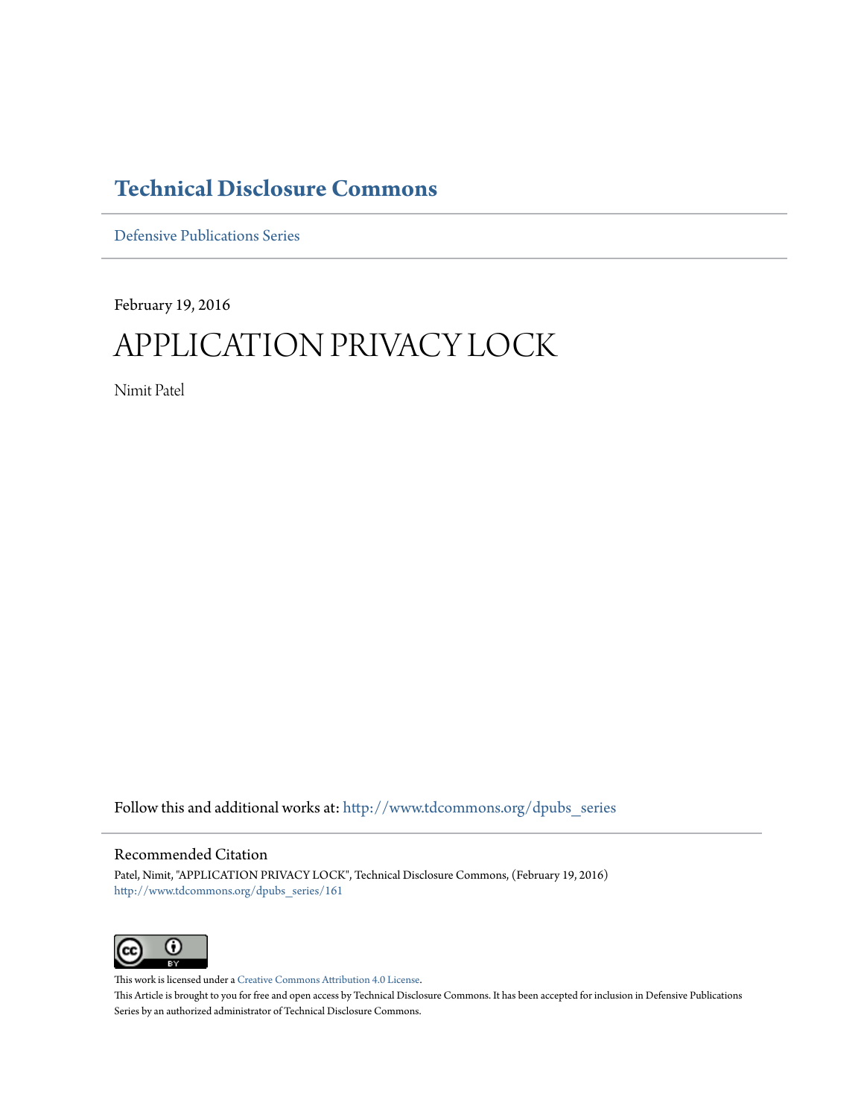## **[Technical Disclosure Commons](http://www.tdcommons.org?utm_source=www.tdcommons.org%2Fdpubs_series%2F161&utm_medium=PDF&utm_campaign=PDFCoverPages)**

[Defensive Publications Series](http://www.tdcommons.org/dpubs_series?utm_source=www.tdcommons.org%2Fdpubs_series%2F161&utm_medium=PDF&utm_campaign=PDFCoverPages)

February 19, 2016

# APPLICATION PRIVACY LOCK

Nimit Patel

Follow this and additional works at: [http://www.tdcommons.org/dpubs\\_series](http://www.tdcommons.org/dpubs_series?utm_source=www.tdcommons.org%2Fdpubs_series%2F161&utm_medium=PDF&utm_campaign=PDFCoverPages)

### Recommended Citation

Patel, Nimit, "APPLICATION PRIVACY LOCK", Technical Disclosure Commons, (February 19, 2016) [http://www.tdcommons.org/dpubs\\_series/161](http://www.tdcommons.org/dpubs_series/161?utm_source=www.tdcommons.org%2Fdpubs_series%2F161&utm_medium=PDF&utm_campaign=PDFCoverPages)



This work is licensed under a [Creative Commons Attribution 4.0 License.](http://creativecommons.org/licenses/by/4.0/deed.en_US) This Article is brought to you for free and open access by Technical Disclosure Commons. It has been accepted for inclusion in Defensive Publications Series by an authorized administrator of Technical Disclosure Commons.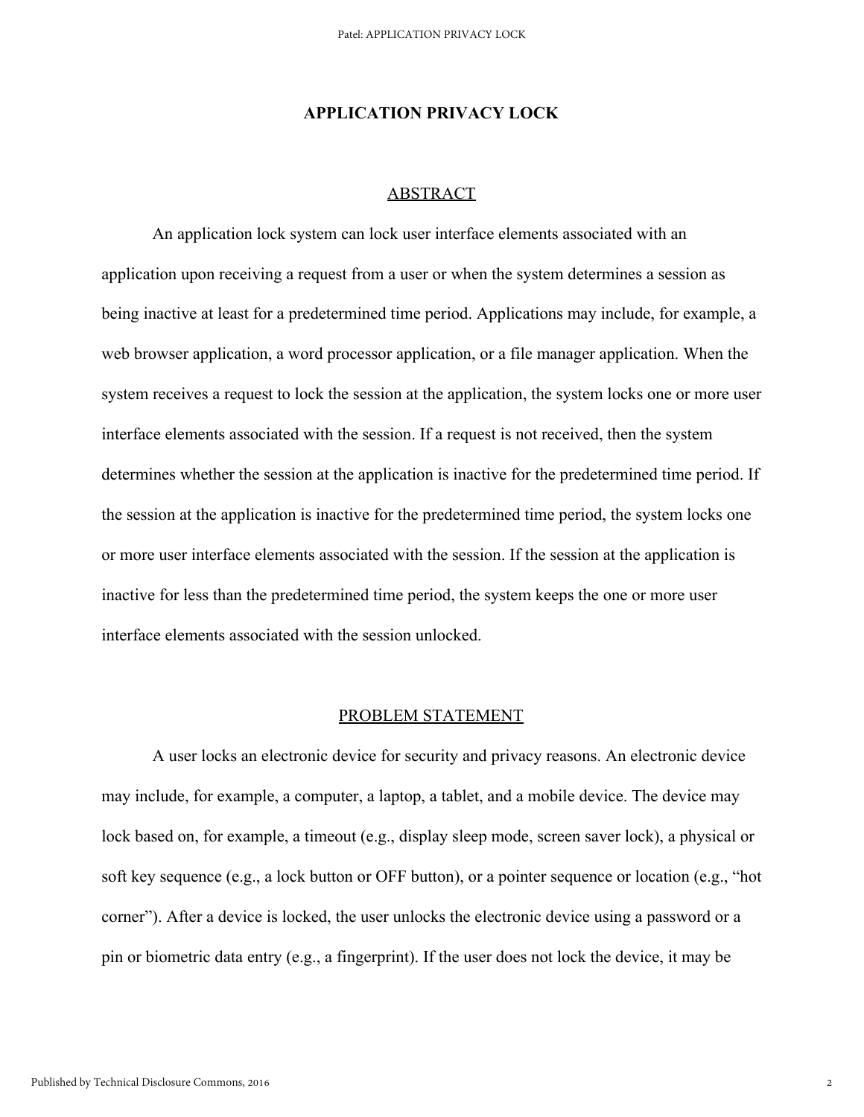#### **APPLICATION PRIVACY LOCK**

#### ABSTRACT

An application lock system can lock user interface elements associated with an application upon receiving a request from a user or when the system determines a session as being inactive at least for a predetermined time period. Applications may include, for example, a web browser application, a word processor application, or a file manager application. When the system receives a request to lock the session at the application, the system locks one or more user interface elements associated with the session. If a request is not received, then the system determines whether the session at the application is inactive for the predetermined time period. If the session at the application is inactive for the predetermined time period, the system locks one or more user interface elements associated with the session. If the session at the application is inactive for less than the predetermined time period, the system keeps the one or more user interface elements associated with the session unlocked.

#### PROBLEM STATEMENT

A user locks an electronic device for security and privacy reasons. An electronic device may include, for example, a computer, a laptop, a tablet, and a mobile device. The device may lock based on, for example, a timeout (e.g., display sleep mode, screen saver lock), a physical or soft key sequence (e.g., a lock button or OFF button), or a pointer sequence or location (e.g., "hot corner"). After a device is locked, the user unlocks the electronic device using a password or a pin or biometric data entry (e.g., a fingerprint). If the user does not lock the device, it may be

2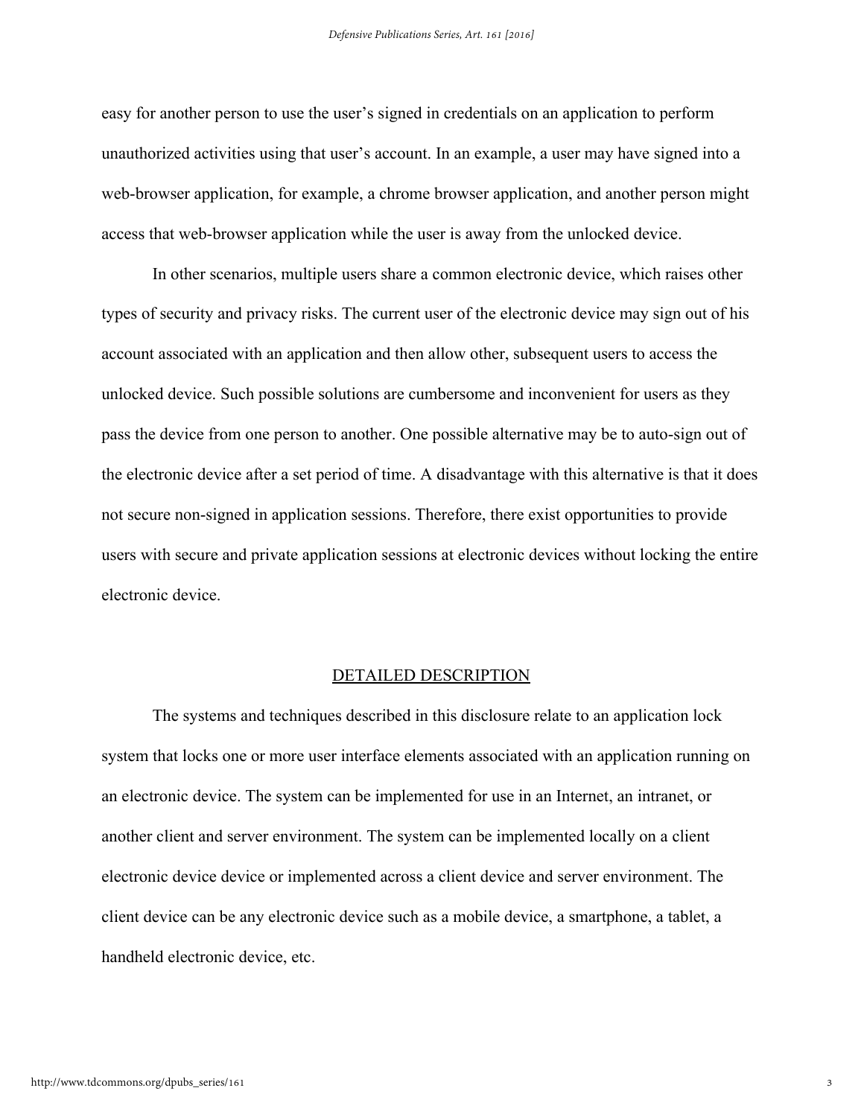easy for another person to use the user's signed in credentials on an application to perform unauthorized activities using that user's account. In an example, a user may have signed into a web-browser application, for example, a chrome browser application, and another person might access that web-browser application while the user is away from the unlocked device.

In other scenarios, multiple users share a common electronic device, which raises other types of security and privacy risks. The current user of the electronic device may sign out of his account associated with an application and then allow other, subsequent users to access the unlocked device. Such possible solutions are cumbersome and inconvenient for users as they pass the device from one person to another. One possible alternative may be to auto-sign out of the electronic device after a set period of time. A disadvantage with this alternative is that it does not secure non-signed in application sessions. Therefore, there exist opportunities to provide users with secure and private application sessions at electronic devices without locking the entire electronic device.

#### DETAILED DESCRIPTION

The systems and techniques described in this disclosure relate to an application lock system that locks one or more user interface elements associated with an application running on an electronic device. The system can be implemented for use in an Internet, an intranet, or another client and server environment. The system can be implemented locally on a client electronic device device or implemented across a client device and server environment. The client device can be any electronic device such as a mobile device, a smartphone, a tablet, a handheld electronic device, etc.

3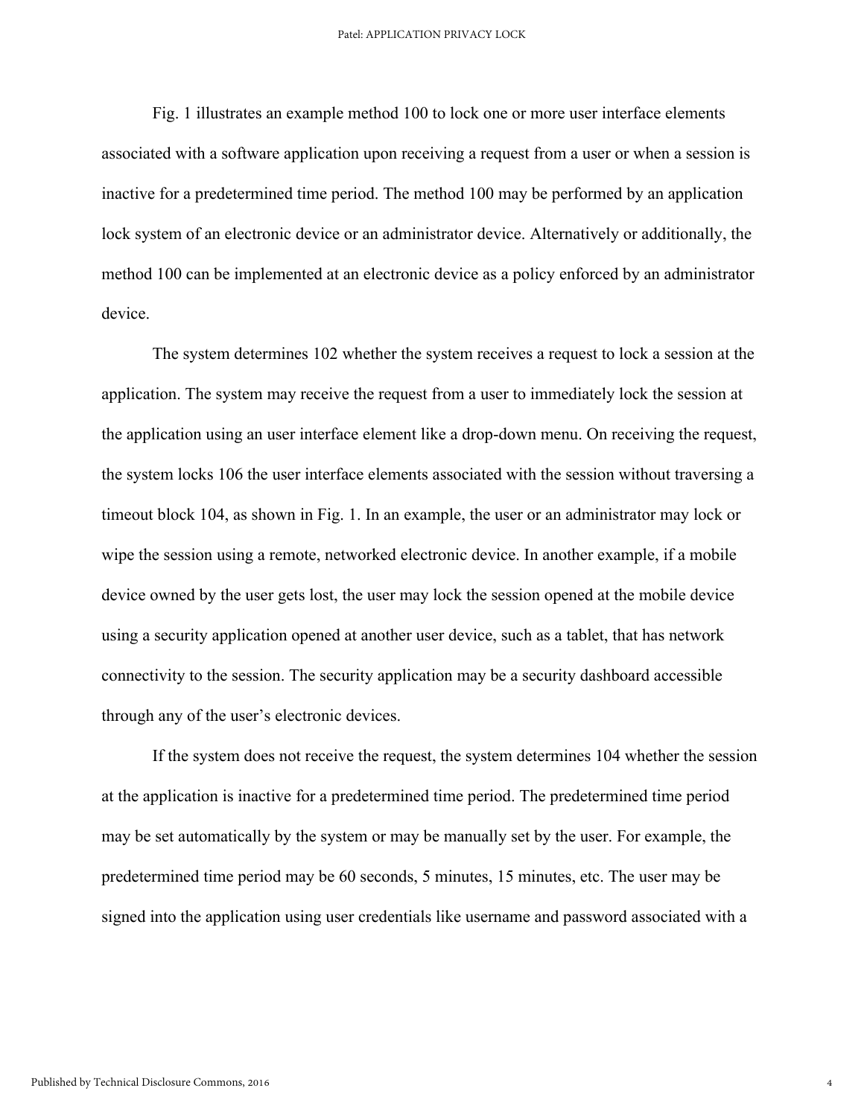#### Patel: APPLICATION PRIVACY LOCK

Fig. 1 illustrates an example method 100 to lock one or more user interface elements associated with a software application upon receiving a request from a user or when a session is inactive for a predetermined time period. The method 100 may be performed by an application lock system of an electronic device or an administrator device. Alternatively or additionally, the method 100 can be implemented at an electronic device as a policy enforced by an administrator device.

The system determines 102 whether the system receives a request to lock a session at the application. The system may receive the request from a user to immediately lock the session at the application using an user interface element like a drop-down menu. On receiving the request, the system locks 106 the user interface elements associated with the session without traversing a timeout block 104, as shown in Fig. 1. In an example, the user or an administrator may lock or wipe the session using a remote, networked electronic device. In another example, if a mobile device owned by the user gets lost, the user may lock the session opened at the mobile device using a security application opened at another user device, such as a tablet, that has network connectivity to the session. The security application may be a security dashboard accessible through any of the user's electronic devices.

If the system does not receive the request, the system determines 104 whether the session at the application is inactive for a predetermined time period. The predetermined time period may be set automatically by the system or may be manually set by the user. For example, the predetermined time period may be 60 seconds, 5 minutes, 15 minutes, etc. The user may be signed into the application using user credentials like username and password associated with a

4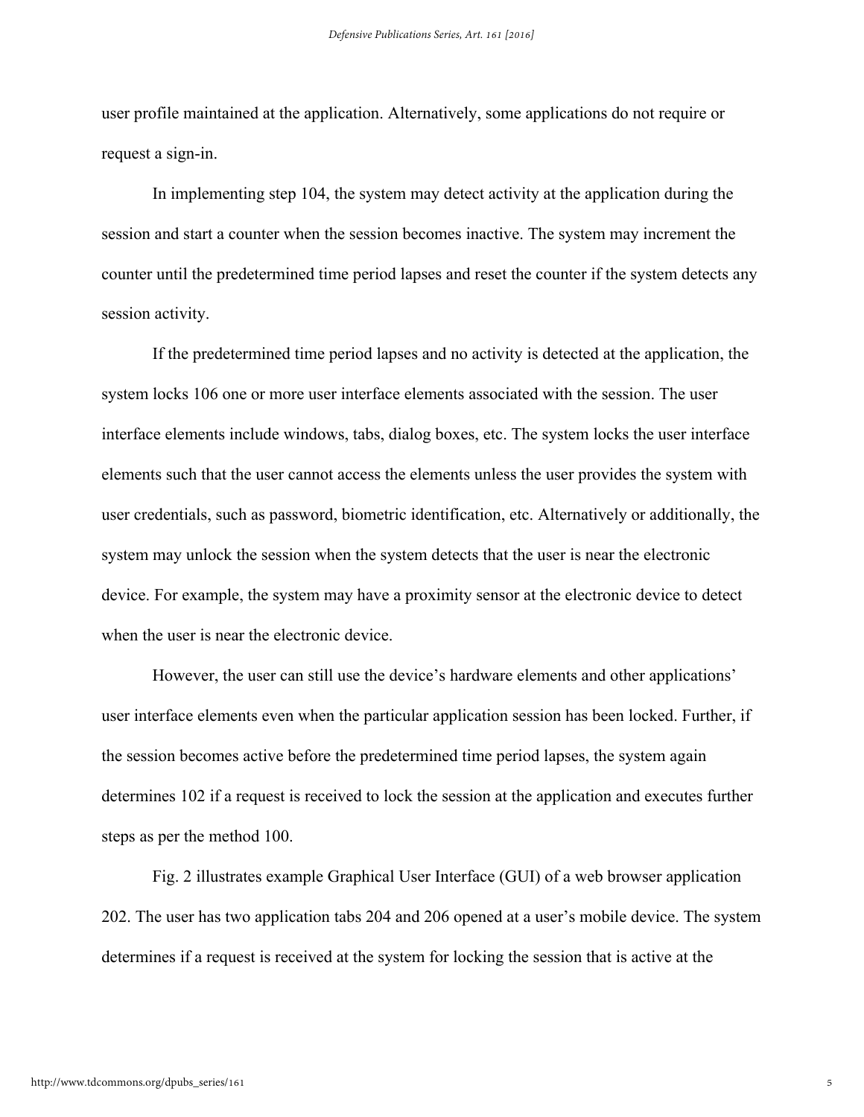user profile maintained at the application. Alternatively, some applications do not require or request a sign-in.

In implementing step 104, the system may detect activity at the application during the session and start a counter when the session becomes inactive. The system may increment the counter until the predetermined time period lapses and reset the counter if the system detects any session activity.

If the predetermined time period lapses and no activity is detected at the application, the system locks 106 one or more user interface elements associated with the session. The user interface elements include windows, tabs, dialog boxes, etc. The system locks the user interface elements such that the user cannot access the elements unless the user provides the system with user credentials, such as password, biometric identification, etc. Alternatively or additionally, the system may unlock the session when the system detects that the user is near the electronic device. For example, the system may have a proximity sensor at the electronic device to detect when the user is near the electronic device.

However, the user can still use the device's hardware elements and other applications' user interface elements even when the particular application session has been locked. Further, if the session becomes active before the predetermined time period lapses, the system again determines 102 if a request is received to lock the session at the application and executes further steps as per the method 100.

Fig. 2 illustrates example Graphical User Interface (GUI) of a web browser application 202. The user has two application tabs 204 and 206 opened at a user's mobile device. The system determines if a request is received at the system for locking the session that is active at the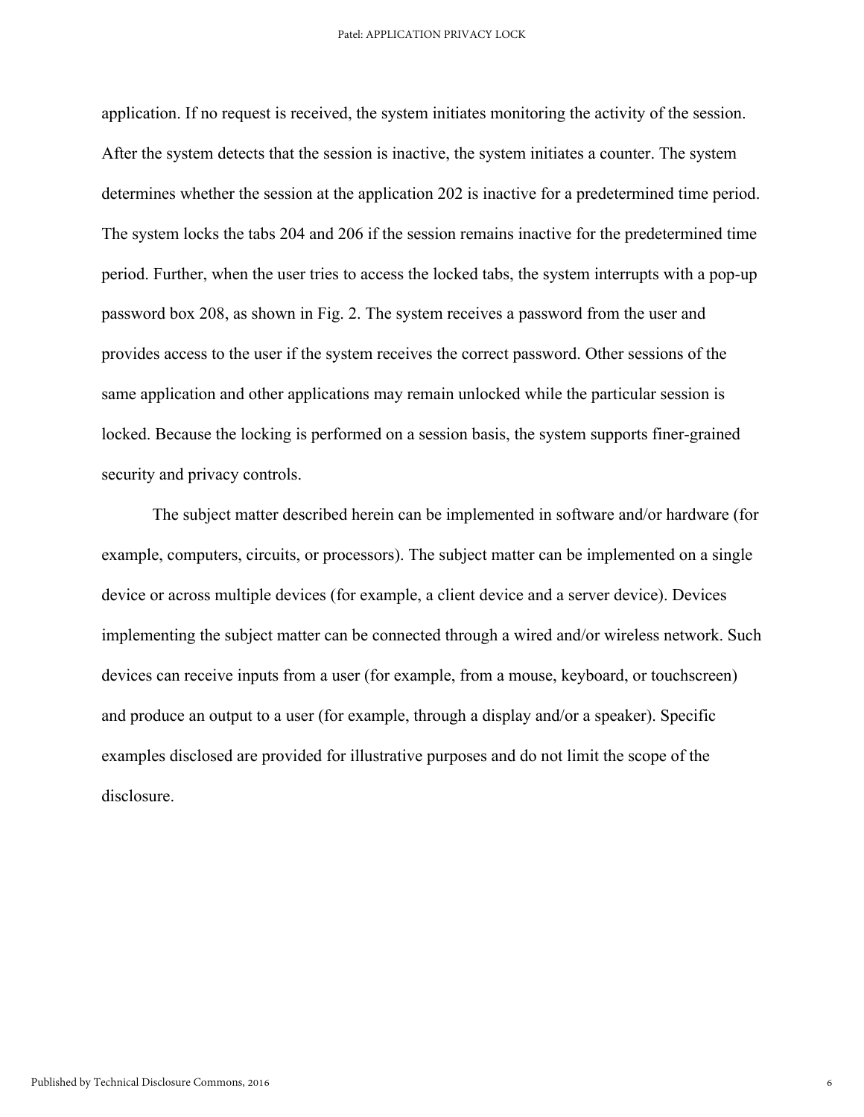application. If no request is received, the system initiates monitoring the activity of the session. After the system detects that the session is inactive, the system initiates a counter. The system determines whether the session at the application 202 is inactive for a predetermined time period. The system locks the tabs 204 and 206 if the session remains inactive for the predetermined time period. Further, when the user tries to access the locked tabs, the system interrupts with a pop-up password box 208, as shown in Fig. 2. The system receives a password from the user and provides access to the user if the system receives the correct password. Other sessions of the same application and other applications may remain unlocked while the particular session is locked. Because the locking is performed on a session basis, the system supports finer-grained security and privacy controls.

The subject matter described herein can be implemented in software and/or hardware (for example, computers, circuits, or processors). The subject matter can be implemented on a single device or across multiple devices (for example, a client device and a server device). Devices implementing the subject matter can be connected through a wired and/or wireless network. Such devices can receive inputs from a user (for example, from a mouse, keyboard, or touchscreen) and produce an output to a user (for example, through a display and/or a speaker). Specific examples disclosed are provided for illustrative purposes and do not limit the scope of the disclosure.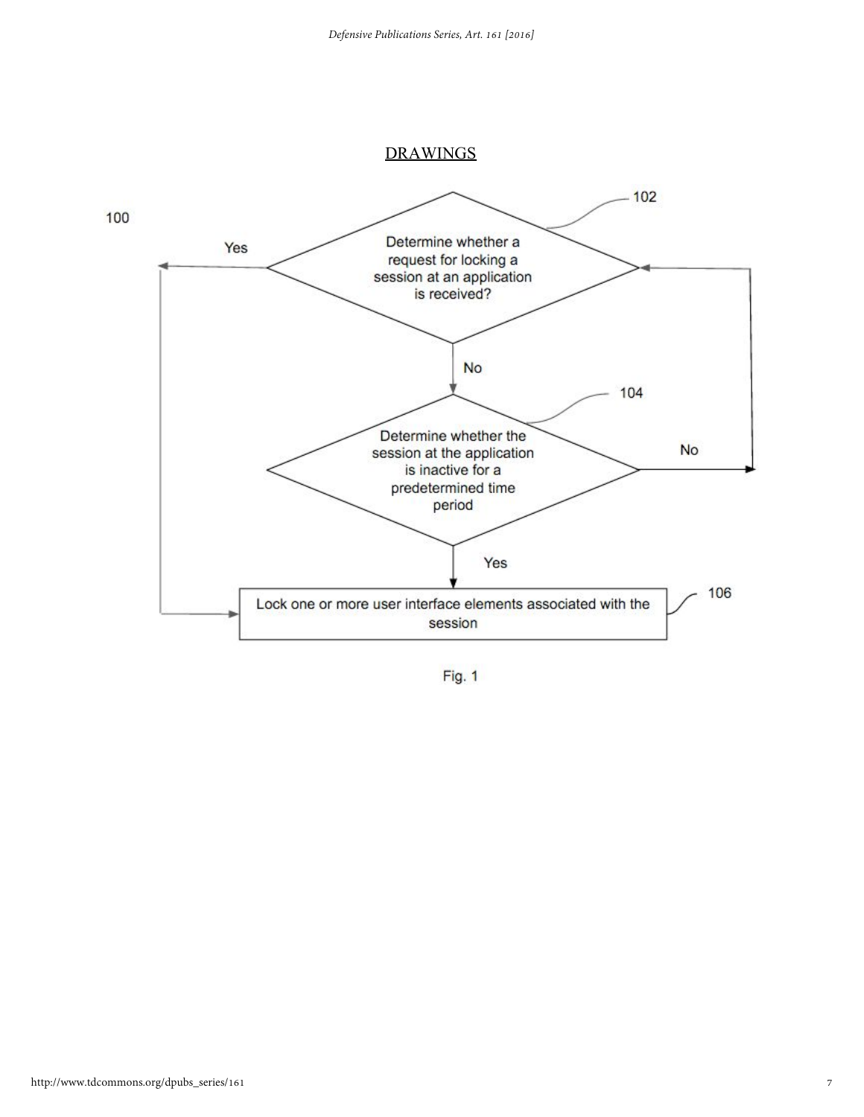#### DRAWINGS



Fig. 1